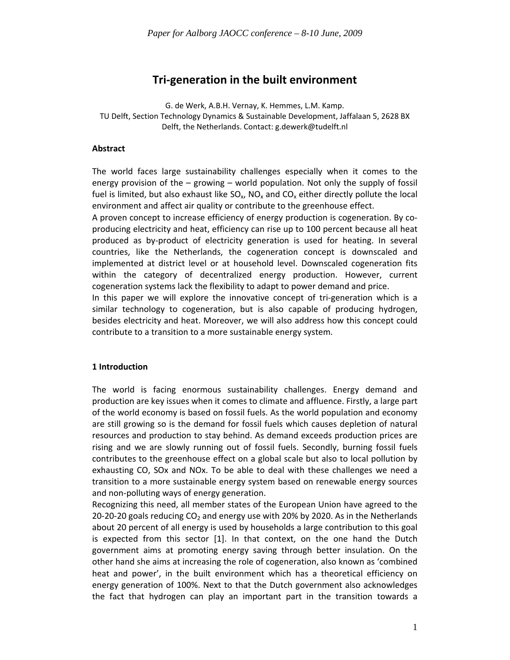# **Tri‐generation in the built environment**

G. de Werk, A.B.H. Vernay, K. Hemmes, L.M. Kamp. TU Delft, Section Technology Dynamics & Sustainable Development, Jaffalaan 5, 2628 BX Delft, the Netherlands. Contact: g.dewerk@tudelft.nl

### **Abstract**

The world faces large sustainability challenges especially when it comes to the energy provision of the – growing – world population. Not only the supply of fossil fuel is limited, but also exhaust like  $SO_x$ , NO<sub>x</sub> and  $CO_x$  either directly pollute the local environment and affect air quality or contribute to the greenhouse effect.

A proven concept to increase efficiency of energy production is cogeneration. By co‐ producing electricity and heat, efficiency can rise up to 100 percent because all heat produced as by‐product of electricity generation is used for heating. In several countries, like the Netherlands, the cogeneration concept is downscaled and implemented at district level or at household level. Downscaled cogeneration fits within the category of decentralized energy production. However, current cogeneration systems lack the flexibility to adapt to power demand and price.

In this paper we will explore the innovative concept of tri-generation which is a similar technology to cogeneration, but is also capable of producing hydrogen, besides electricity and heat. Moreover, we will also address how this concept could contribute to a transition to a more sustainable energy system.

## **1 Introduction**

The world is facing enormous sustainability challenges. Energy demand and production are key issues when it comes to climate and affluence. Firstly, a large part of the world economy is based on fossil fuels. As the world population and economy are still growing so is the demand for fossil fuels which causes depletion of natural resources and production to stay behind. As demand exceeds production prices are rising and we are slowly running out of fossil fuels. Secondly, burning fossil fuels contributes to the greenhouse effect on a global scale but also to local pollution by exhausting CO, SOx and NOx. To be able to deal with these challenges we need a transition to a more sustainable energy system based on renewable energy sources and non‐polluting ways of energy generation.

Recognizing this need, all member states of the European Union have agreed to the 20-20-20 goals reducing  $CO<sub>2</sub>$  and energy use with 20% by 2020. As in the Netherlands about 20 percent of all energy is used by households a large contribution to this goal is expected from this sector [1]. In that context, on the one hand the Dutch government aims at promoting energy saving through better insulation. On the other hand she aims at increasing the role of cogeneration, also known as 'combined heat and power', in the built environment which has a theoretical efficiency on energy generation of 100%. Next to that the Dutch government also acknowledges the fact that hydrogen can play an important part in the transition towards a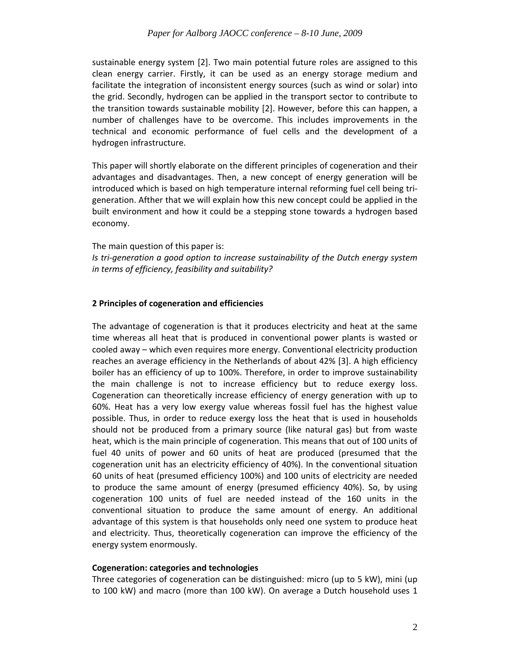sustainable energy system [2]. Two main potential future roles are assigned to this clean energy carrier. Firstly, it can be used as an energy storage medium and facilitate the integration of inconsistent energy sources (such as wind or solar) into the grid. Secondly, hydrogen can be applied in the transport sector to contribute to the transition towards sustainable mobility [2]. However, before this can happen, a number of challenges have to be overcome. This includes improvements in the technical and economic performance of fuel cells and the development of a hydrogen infrastructure.

This paper will shortly elaborate on the different principles of cogeneration and their advantages and disadvantages. Then, a new concept of energy generation will be introduced which is based on high temperature internal reforming fuel cell being tri‐ generation. Afther that we will explain how this new concept could be applied in the built environment and how it could be a stepping stone towards a hydrogen based economy.

The main question of this paper is:

*Is tri‐generation a good option to increase sustainability of the Dutch energy system in terms of efficiency, feasibility and suitability?*

#### **2 Principles of cogeneration and efficiencies**

The advantage of cogeneration is that it produces electricity and heat at the same time whereas all heat that is produced in conventional power plants is wasted or cooled away – which even requires more energy. Conventional electricity production reaches an average efficiency in the Netherlands of about 42% [3]. A high efficiency boiler has an efficiency of up to 100%. Therefore, in order to improve sustainability the main challenge is not to increase efficiency but to reduce exergy loss. Cogeneration can theoretically increase efficiency of energy generation with up to 60%. Heat has a very low exergy value whereas fossil fuel has the highest value possible. Thus, in order to reduce exergy loss the heat that is used in households should not be produced from a primary source (like natural gas) but from waste heat, which is the main principle of cogeneration. This means that out of 100 units of fuel 40 units of power and 60 units of heat are produced (presumed that the cogeneration unit has an electricity efficiency of 40%). In the conventional situation 60 units of heat (presumed efficiency 100%) and 100 units of electricity are needed to produce the same amount of energy (presumed efficiency 40%). So, by using cogeneration 100 units of fuel are needed instead of the 160 units in the conventional situation to produce the same amount of energy. An additional advantage of this system is that households only need one system to produce heat and electricity. Thus, theoretically cogeneration can improve the efficiency of the energy system enormously.

#### **Cogeneration: categories and technologies**

Three categories of cogeneration can be distinguished: micro (up to 5 kW), mini (up to 100 kW) and macro (more than 100 kW). On average a Dutch household uses 1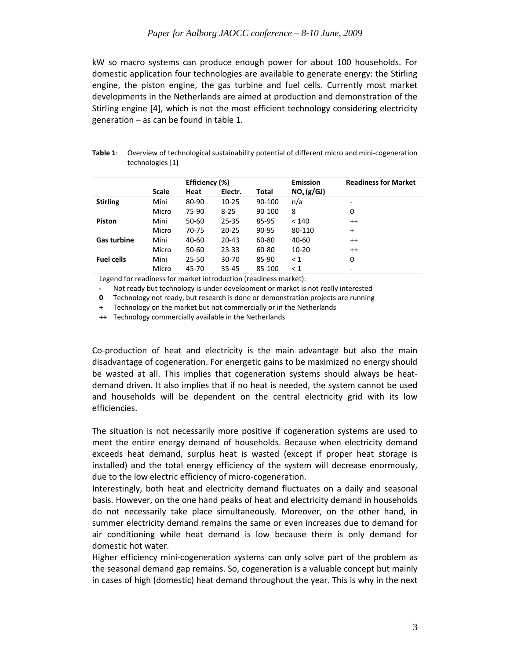kW so macro systems can produce enough power for about 100 households. For domestic application four technologies are available to generate energy: the Stirling engine, the piston engine, the gas turbine and fuel cells. Currently most market developments in the Netherlands are aimed at production and demonstration of the Stirling engine [4], which is not the most efficient technology considering electricity generation – as can be found in table 1.

|                    | Efficiency (%) |           |           |        | <b>Emission</b>        | <b>Readiness for Market</b>  |
|--------------------|----------------|-----------|-----------|--------|------------------------|------------------------------|
|                    | <b>Scale</b>   | Heat      | Electr.   | Total  | NO <sub>x</sub> (g/GJ) |                              |
| <b>Stirling</b>    | Mini           | 80-90     | $10 - 25$ | 90-100 | n/a                    | $\qquad \qquad \blacksquare$ |
|                    | Micro          | 75-90     | $8 - 25$  | 90-100 | 8                      | 0                            |
| Piston             | Mini           | 50-60     | $25 - 35$ | 85-95  | < 140                  | $^{++}$                      |
|                    | Micro          | 70-75     | $20 - 25$ | 90-95  | 80-110                 | $\ddot{}$                    |
| <b>Gas turbine</b> | Mini           | 40-60     | $20 - 43$ | 60-80  | 40-60                  | $++$                         |
|                    | Micro          | 50-60     | 23-33     | 60-80  | $10 - 20$              | $++$                         |
| <b>Fuel cells</b>  | Mini           | $25 - 50$ | 30-70     | 85-90  | $\leq 1$               | 0                            |
|                    | Micro          | 45-70     | $35 - 45$ | 85-100 | $\leq 1$               | -                            |

**Table 1:** Overview of technological sustainability potential of different micro and mini-cogeneration technologies [1]

Legend for readiness for market introduction (readiness market):

Not ready but technology is under development or market is not really interested

**0 Technology not ready, but research is done or demonstration projects are running** 

**+** Technology on the market but not commercially or in the Netherlands

**++**  Technology commercially available in the Netherlands

Co‐production of heat and electricity is the main advantage but also the main disadvantage of cogeneration. For energetic gains to be maximized no energy should be wasted at all. This implies that cogeneration systems should always be heat‐ demand driven. It also implies that if no heat is needed, the system cannot be used and households will be dependent on the central electricity grid with its low efficiencies.

The situation is not necessarily more positive if cogeneration systems are used to meet the entire energy demand of households. Because when electricity demand exceeds heat demand, surplus heat is wasted (except if proper heat storage is installed) and the total energy efficiency of the system will decrease enormously, due to the low electric efficiency of micro‐cogeneration.

Interestingly, both heat and electricity demand fluctuates on a daily and seasonal basis. However, on the one hand peaks of heat and electricity demand in households do not necessarily take place simultaneously. Moreover, on the other hand, in summer electricity demand remains the same or even increases due to demand for air conditioning while heat demand is low because there is only demand for domestic hot water.

Higher efficiency mini‐cogeneration systems can only solve part of the problem as the seasonal demand gap remains. So, cogeneration is a valuable concept but mainly in cases of high (domestic) heat demand throughout the year. This is why in the next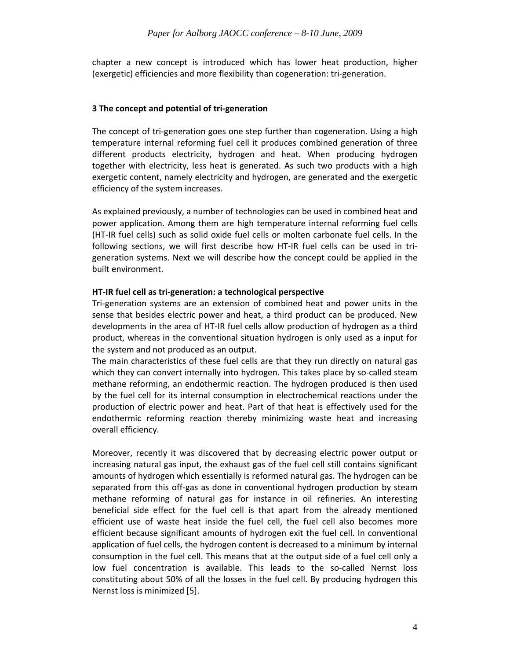chapter a new concept is introduced which has lower heat production, higher (exergetic) efficiencies and more flexibility than cogeneration: tri‐generation.

## **3 The concept and potential of tri‐generation**

The concept of tri‐generation goes one step further than cogeneration. Using a high temperature internal reforming fuel cell it produces combined generation of three different products electricity, hydrogen and heat. When producing hydrogen together with electricity, less heat is generated. As such two products with a high exergetic content, namely electricity and hydrogen, are generated and the exergetic efficiency of the system increases.

As explained previously, a number of technologies can be used in combined heat and power application. Among them are high temperature internal reforming fuel cells (HT‐IR fuel cells) such as solid oxide fuel cells or molten carbonate fuel cells. In the following sections, we will first describe how HT-IR fuel cells can be used in trigeneration systems. Next we will describe how the concept could be applied in the built environment.

#### **HT‐IR fuel cell as tri‐generation: a technological perspective**

Tri‐generation systems are an extension of combined heat and power units in the sense that besides electric power and heat, a third product can be produced. New developments in the area of HT‐IR fuel cells allow production of hydrogen as a third product, whereas in the conventional situation hydrogen is only used as a input for the system and not produced as an output.

The main characteristics of these fuel cells are that they run directly on natural gas which they can convert internally into hydrogen. This takes place by so-called steam methane reforming, an endothermic reaction. The hydrogen produced is then used by the fuel cell for its internal consumption in electrochemical reactions under the production of electric power and heat. Part of that heat is effectively used for the endothermic reforming reaction thereby minimizing waste heat and increasing overall efficiency.

Moreover, recently it was discovered that by decreasing electric power output or increasing natural gas input, the exhaust gas of the fuel cell still contains significant amounts of hydrogen which essentially is reformed natural gas. The hydrogen can be separated from this off-gas as done in conventional hydrogen production by steam methane reforming of natural gas for instance in oil refineries. An interesting beneficial side effect for the fuel cell is that apart from the already mentioned efficient use of waste heat inside the fuel cell, the fuel cell also becomes more efficient because significant amounts of hydrogen exit the fuel cell. In conventional application of fuel cells, the hydrogen content is decreased to a minimum by internal consumption in the fuel cell. This means that at the output side of a fuel cell only a low fuel concentration is available. This leads to the so-called Nernst loss constituting about 50% of all the losses in the fuel cell. By producing hydrogen this Nernst loss is minimized [5].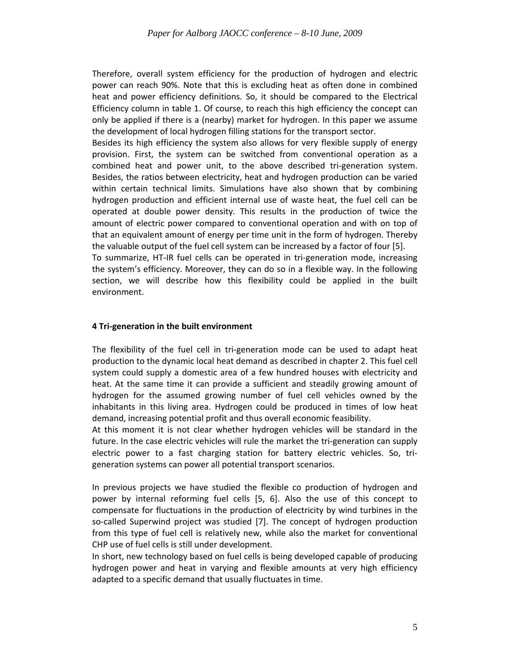Therefore, overall system efficiency for the production of hydrogen and electric power can reach 90%. Note that this is excluding heat as often done in combined heat and power efficiency definitions. So, it should be compared to the Electrical Efficiency column in table 1. Of course, to reach this high efficiency the concept can only be applied if there is a (nearby) market for hydrogen. In this paper we assume the development of local hydrogen filling stations for the transport sector.

Besides its high efficiency the system also allows for very flexible supply of energy provision. First, the system can be switched from conventional operation as a combined heat and power unit, to the above described tri‐generation system. Besides, the ratios between electricity, heat and hydrogen production can be varied within certain technical limits. Simulations have also shown that by combining hydrogen production and efficient internal use of waste heat, the fuel cell can be operated at double power density. This results in the production of twice the amount of electric power compared to conventional operation and with on top of that an equivalent amount of energy per time unit in the form of hydrogen. Thereby the valuable output of the fuel cell system can be increased by a factor of four [5].

To summarize, HT‐IR fuel cells can be operated in tri‐generation mode, increasing the system's efficiency. Moreover, they can do so in a flexible way. In the following section, we will describe how this flexibility could be applied in the built environment.

## **4 Tri‐generation in the built environment**

The flexibility of the fuel cell in tri‐generation mode can be used to adapt heat production to the dynamic local heat demand as described in chapter 2. This fuel cell system could supply a domestic area of a few hundred houses with electricity and heat. At the same time it can provide a sufficient and steadily growing amount of hydrogen for the assumed growing number of fuel cell vehicles owned by the inhabitants in this living area. Hydrogen could be produced in times of low heat demand, increasing potential profit and thus overall economic feasibility.

At this moment it is not clear whether hydrogen vehicles will be standard in the future. In the case electric vehicles will rule the market the tri-generation can supply electric power to a fast charging station for battery electric vehicles. So, tri‐ generation systems can power all potential transport scenarios.

In previous projects we have studied the flexible co production of hydrogen and power by internal reforming fuel cells [5, 6]. Also the use of this concept to compensate for fluctuations in the production of electricity by wind turbines in the so-called Superwind project was studied [7]. The concept of hydrogen production from this type of fuel cell is relatively new, while also the market for conventional CHP use of fuel cells is still under development.

In short, new technology based on fuel cells is being developed capable of producing hydrogen power and heat in varying and flexible amounts at very high efficiency adapted to a specific demand that usually fluctuates in time.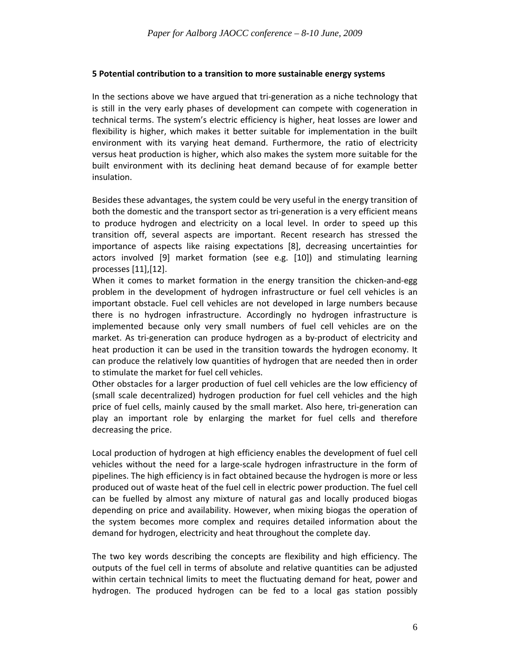## **5 Potential contribution to a transition to more sustainable energy systems**

In the sections above we have argued that tri-generation as a niche technology that is still in the very early phases of development can compete with cogeneration in technical terms. The system's electric efficiency is higher, heat losses are lower and flexibility is higher, which makes it better suitable for implementation in the built environment with its varying heat demand. Furthermore, the ratio of electricity versus heat production is higher, which also makes the system more suitable for the built environment with its declining heat demand because of for example better insulation.

Besides these advantages, the system could be very useful in the energy transition of both the domestic and the transport sector as tri‐generation is a very efficient means to produce hydrogen and electricity on a local level. In order to speed up this transition off, several aspects are important. Recent research has stressed the importance of aspects like raising expectations [8], decreasing uncertainties for actors involved [9] market formation (see e.g. [10]) and stimulating learning processes [11],[12].

When it comes to market formation in the energy transition the chicken-and-egg problem in the development of hydrogen infrastructure or fuel cell vehicles is an important obstacle. Fuel cell vehicles are not developed in large numbers because there is no hydrogen infrastructure. Accordingly no hydrogen infrastructure is implemented because only very small numbers of fuel cell vehicles are on the market. As tri‐generation can produce hydrogen as a by‐product of electricity and heat production it can be used in the transition towards the hydrogen economy. It can produce the relatively low quantities of hydrogen that are needed then in order to stimulate the market for fuel cell vehicles.

Other obstacles for a larger production of fuel cell vehicles are the low efficiency of (small scale decentralized) hydrogen production for fuel cell vehicles and the high price of fuel cells, mainly caused by the small market. Also here, tri‐generation can play an important role by enlarging the market for fuel cells and therefore decreasing the price.

Local production of hydrogen at high efficiency enables the development of fuel cell vehicles without the need for a large‐scale hydrogen infrastructure in the form of pipelines. The high efficiency is in fact obtained because the hydrogen is more or less produced out of waste heat of the fuel cell in electric power production. The fuel cell can be fuelled by almost any mixture of natural gas and locally produced biogas depending on price and availability. However, when mixing biogas the operation of the system becomes more complex and requires detailed information about the demand for hydrogen, electricity and heat throughout the complete day.

The two key words describing the concepts are flexibility and high efficiency. The outputs of the fuel cell in terms of absolute and relative quantities can be adjusted within certain technical limits to meet the fluctuating demand for heat, power and hydrogen. The produced hydrogen can be fed to a local gas station possibly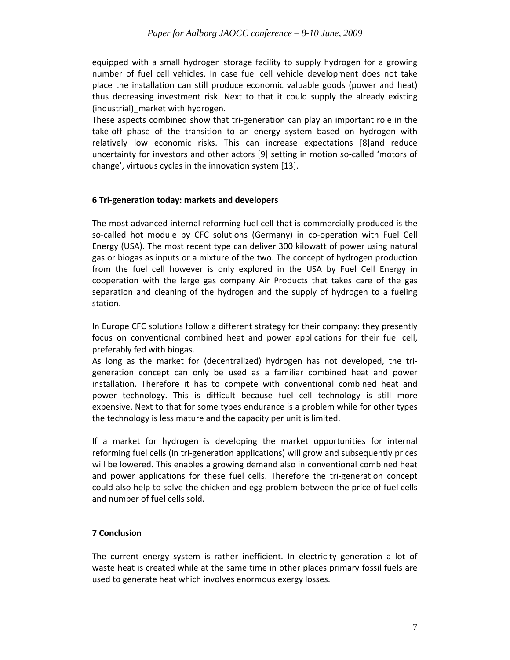equipped with a small hydrogen storage facility to supply hydrogen for a growing number of fuel cell vehicles. In case fuel cell vehicle development does not take place the installation can still produce economic valuable goods (power and heat) thus decreasing investment risk. Next to that it could supply the already existing (industrial)\_market with hydrogen.

These aspects combined show that tri‐generation can play an important role in the take‐off phase of the transition to an energy system based on hydrogen with relatively low economic risks. This can increase expectations [8]and reduce uncertainty for investors and other actors [9] setting in motion so‐called 'motors of change', virtuous cycles in the innovation system [13].

## **6 Tri‐generation today: markets and developers**

The most advanced internal reforming fuel cell that is commercially produced is the so-called hot module by CFC solutions (Germany) in co-operation with Fuel Cell Energy (USA). The most recent type can deliver 300 kilowatt of power using natural gas or biogas as inputs or a mixture of the two. The concept of hydrogen production from the fuel cell however is only explored in the USA by Fuel Cell Energy in cooperation with the large gas company Air Products that takes care of the gas separation and cleaning of the hydrogen and the supply of hydrogen to a fueling station.

In Europe CFC solutions follow a different strategy for their company: they presently focus on conventional combined heat and power applications for their fuel cell, preferably fed with biogas.

As long as the market for (decentralized) hydrogen has not developed, the tri‐ generation concept can only be used as a familiar combined heat and power installation. Therefore it has to compete with conventional combined heat and power technology. This is difficult because fuel cell technology is still more expensive. Next to that for some types endurance is a problem while for other types the technology is less mature and the capacity per unit is limited.

If a market for hydrogen is developing the market opportunities for internal reforming fuel cells (in tri‐generation applications) will grow and subsequently prices will be lowered. This enables a growing demand also in conventional combined heat and power applications for these fuel cells. Therefore the tri‐generation concept could also help to solve the chicken and egg problem between the price of fuel cells and number of fuel cells sold.

## **7 Conclusion**

The current energy system is rather inefficient. In electricity generation a lot of waste heat is created while at the same time in other places primary fossil fuels are used to generate heat which involves enormous exergy losses.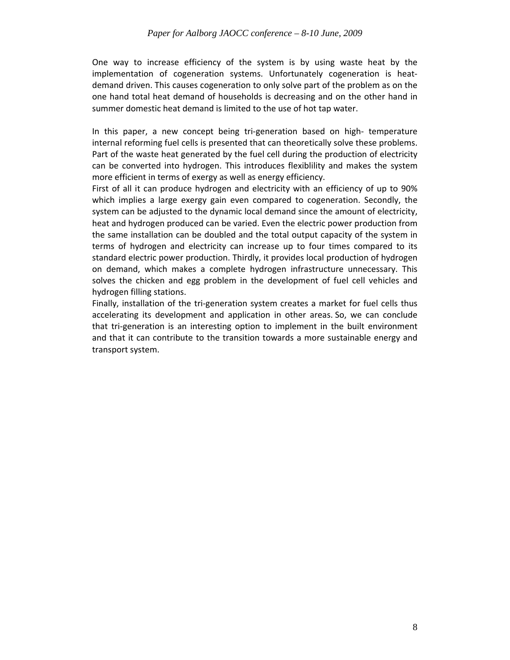One way to increase efficiency of the system is by using waste heat by the implementation of cogeneration systems. Unfortunately cogeneration is heatdemand driven. This causes cogeneration to only solve part of the problem as on the one hand total heat demand of households is decreasing and on the other hand in summer domestic heat demand is limited to the use of hot tap water.

In this paper, a new concept being tri‐generation based on high‐ temperature internal reforming fuel cells is presented that can theoretically solve these problems. Part of the waste heat generated by the fuel cell during the production of electricity can be converted into hydrogen. This introduces flexiblility and makes the system more efficient in terms of exergy as well as energy efficiency.

First of all it can produce hydrogen and electricity with an efficiency of up to 90% which implies a large exergy gain even compared to cogeneration. Secondly, the system can be adjusted to the dynamic local demand since the amount of electricity, heat and hydrogen produced can be varied. Even the electric power production from the same installation can be doubled and the total output capacity of the system in terms of hydrogen and electricity can increase up to four times compared to its standard electric power production. Thirdly, it provides local production of hydrogen on demand, which makes a complete hydrogen infrastructure unnecessary. This solves the chicken and egg problem in the development of fuel cell vehicles and hydrogen filling stations.

Finally, installation of the tri‐generation system creates a market for fuel cells thus accelerating its development and application in other areas. So, we can conclude that tri-generation is an interesting option to implement in the built environment and that it can contribute to the transition towards a more sustainable energy and transport system.